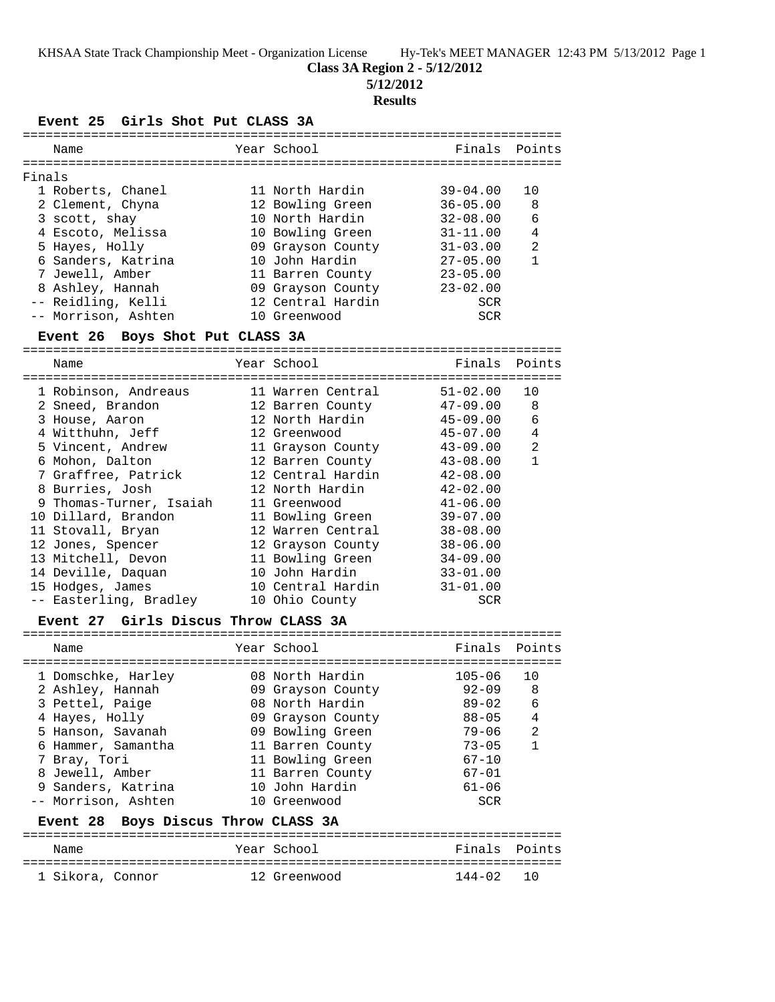# **Class 3A Region 2 - 5/12/2012**

**5/12/2012**

# **Results**

**Event 25 Girls Shot Put CLASS 3A**

| Name                               | Year School       | Finals Points |              |
|------------------------------------|-------------------|---------------|--------------|
| Finals                             |                   |               |              |
| 1 Roberts, Chanel                  | 11 North Hardin   | $39 - 04.00$  | 10           |
| 2 Clement, Chyna                   | 12 Bowling Green  | $36 - 05.00$  | - 8          |
| 3 scott, shay                      | 10 North Hardin   | $32 - 08.00$  | 6            |
| 4 Escoto, Melissa                  | 10 Bowling Green  | $31 - 11.00$  | 4            |
| 5 Hayes, Holly                     | 09 Grayson County | $31 - 03.00$  | 2            |
| 6 Sanders, Katrina                 | 10 John Hardin    | $27 - 05.00$  | $\mathbf{1}$ |
| 7 Jewell, Amber                    | 11 Barren County  | $23 - 05.00$  |              |
| 8 Ashley, Hannah                   | 09 Grayson County | $23 - 02.00$  |              |
| -- Reidling, Kelli                 | 12 Central Hardin | SCR           |              |
| -- Morrison, Ashten                | 10 Greenwood      | <b>SCR</b>    |              |
| Boys Chot Dut CLACC 2A<br>Frant 26 |                   |               |              |

#### **Event 26 Boys Shot Put CLASS 3A**

=======================================================================

| Name                    | Year School       | Finals Points |              |
|-------------------------|-------------------|---------------|--------------|
| 1 Robinson, Andreaus    | 11 Warren Central | 51-02.00      | 10           |
| 2 Sneed, Brandon        | 12 Barren County  | 47-09.00      | 8            |
| 3 House, Aaron          | 12 North Hardin   | 45-09.00      | 6            |
| 4 Witthuhn, Jeff        | 12 Greenwood      | 45-07.00      | 4            |
| 5 Vincent, Andrew       | 11 Grayson County | $43 - 09.00$  | 2            |
| 6 Mohon, Dalton         | 12 Barren County  | 43-08.00      | $\mathbf{1}$ |
| 7 Graffree, Patrick     | 12 Central Hardin | $42 - 08.00$  |              |
| 8 Burries, Josh         | 12 North Hardin   | $42 - 02.00$  |              |
| 9 Thomas-Turner, Isaiah | 11 Greenwood      | $41 - 06.00$  |              |
| 10 Dillard, Brandon     | 11 Bowling Green  | $39 - 07.00$  |              |
| 11 Stovall, Bryan       | 12 Warren Central | $38 - 08.00$  |              |
| 12 Jones, Spencer       | 12 Grayson County | $38 - 06.00$  |              |
| 13 Mitchell, Devon      | 11 Bowling Green  | $34 - 09.00$  |              |
| 14 Deville, Daquan      | 10 John Hardin    | $33 - 01.00$  |              |
| 15 Hodges, James        | 10 Central Hardin | $31 - 01.00$  |              |
| -- Easterling, Bradley  | 10 Ohio County    | SCR           |              |

## **Event 27 Girls Discus Throw CLASS 3A**

| Name                                | Year School       | Finals Points |              |
|-------------------------------------|-------------------|---------------|--------------|
|                                     |                   |               |              |
| 1 Domschke, Harley                  | 08 North Hardin   | $105 - 06$    | 1 O          |
| 2 Ashley, Hannah                    | 09 Grayson County | $92 - 09$     | 8            |
| 3 Pettel, Paige                     | 08 North Hardin   | $89 - 02$     | 6            |
| 4 Hayes, Holly                      | 09 Grayson County | 88-05         | 4            |
| 5 Hanson, Savanah                   | 09 Bowling Green  | 79–06         | 2            |
| 6 Hammer, Samantha                  | 11 Barren County  | $73 - 05$     | $\mathbf{1}$ |
| 7 Bray, Tori                        | 11 Bowling Green  | $67 - 10$     |              |
| 8 Jewell, Amber                     | 11 Barren County  | $67 - 01$     |              |
| 9 Sanders, Katrina                  | 10 John Hardin    | $61 - 06$     |              |
| -- Morrison, Ashten                 | 10 Greenwood      | SCR           |              |
| Event 28 Boys Discus Throw CLASS 3A |                   |               |              |
|                                     |                   |               |              |
|                                     |                   |               |              |

| Name             |  | Year School  | Finals Points |  |
|------------------|--|--------------|---------------|--|
|                  |  |              |               |  |
| 1 Sikora, Connor |  | 12 Greenwood | $144 - 02$ 10 |  |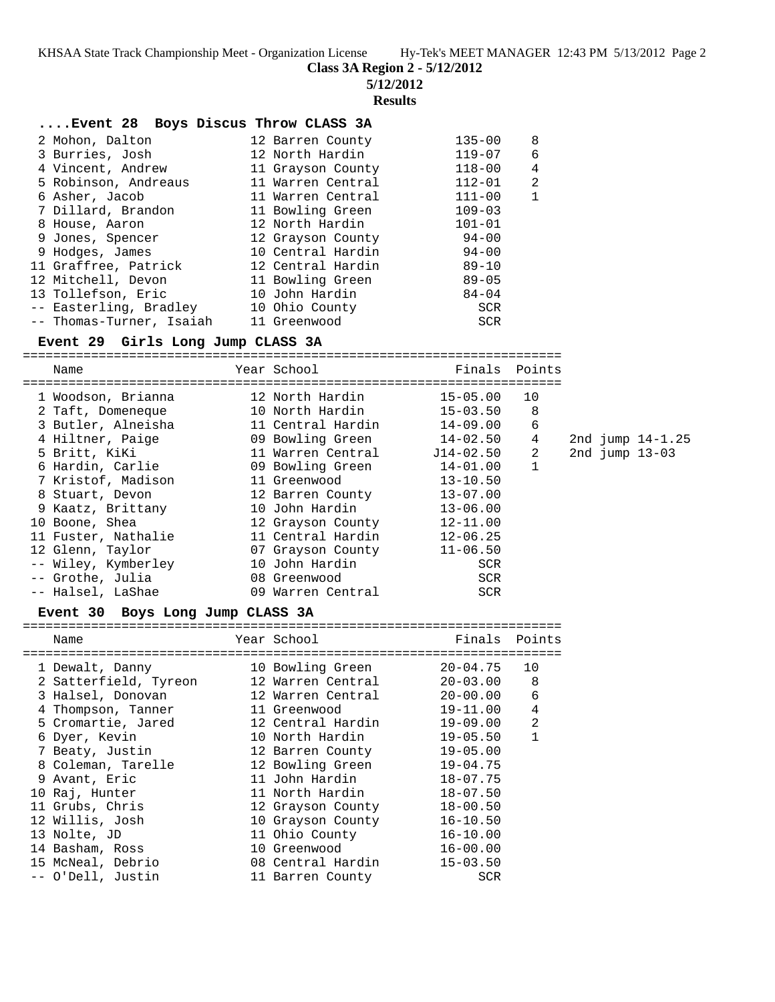**Class 3A Region 2 - 5/12/2012**

**5/12/2012**

#### **Results**

#### **....Event 28 Boys Discus Throw CLASS 3A**

| 2 Mohon, Dalton          | 12 Barren County  | $135 - 00$ | 8              |
|--------------------------|-------------------|------------|----------------|
| 3 Burries, Josh          | 12 North Hardin   | $119 - 07$ | 6              |
| 4 Vincent, Andrew        | 11 Grayson County | $118 - 00$ | 4              |
| 5 Robinson, Andreaus     | 11 Warren Central | $112 - 01$ | $\overline{2}$ |
| 6 Asher, Jacob           | 11 Warren Central | $111 - 00$ | $\mathbf 1$    |
| 7 Dillard, Brandon       | 11 Bowling Green  | $109 - 03$ |                |
| 8 House, Aaron           | 12 North Hardin   | $101 - 01$ |                |
| 9 Jones, Spencer         | 12 Grayson County | $94 - 00$  |                |
| 9 Hodges, James          | 10 Central Hardin | $94 - 00$  |                |
| 11 Graffree, Patrick     | 12 Central Hardin | $89 - 10$  |                |
| 12 Mitchell, Devon       | 11 Bowling Green  | $89 - 05$  |                |
| 13 Tollefson, Eric       | 10 John Hardin    | $84 - 04$  |                |
| -- Easterling, Bradley   | 10 Ohio County    | <b>SCR</b> |                |
| -- Thomas-Turner, Isaiah | 11 Greenwood      | <b>SCR</b> |                |

#### **Event 29 Girls Long Jump CLASS 3A**

======================================================================= Name The Year School The Finals Points ======================================================================= 1 Woodson, Brianna 12 North Hardin 15-05.00 10 2 Taft, Domeneque 10 North Hardin 15-03.50 8 3 Butler, Alneisha 11 Central Hardin 14-09.00 6 4 Hiltner, Paige 09 Bowling Green 14-02.50 4 2nd jump 14-1.25 5 Britt, KiKi 11 Warren Central J14-02.50 2 2nd jump 13-03 6 Hardin, Carlie 09 Bowling Green 14-01.00 1 7 Kristof, Madison 11 Greenwood 13-10.50 8 Stuart, Devon 12 Barren County 13-07.00 9 Kaatz, Brittany 10 John Hardin 13-06.00 10 Boone, Shea 12 Grayson County 12-11.00 11 Fuster, Nathalie 11 Central Hardin 12-06.25 12 Glenn, Taylor 07 Grayson County 11-06.50 -- Wiley, Kymberley 10 John Hardin SCR -- Grothe, Julia 08 Greenwood SCR -- Halsel, LaShae 09 Warren Central SCR

### **Event 30 Boys Long Jump CLASS 3A**

| Name                  | Year School                     | Finals       | Points         |
|-----------------------|---------------------------------|--------------|----------------|
| 1 Dewalt, Danny       | -----------<br>10 Bowling Green | 20-04.75     | 10             |
| 2 Satterfield, Tyreon | 12 Warren Central               | $20 - 03.00$ | 8              |
| 3 Halsel, Donovan     | 12 Warren Central               | $20 - 00.00$ | 6              |
| 4 Thompson, Tanner    | 11 Greenwood                    | $19 - 11.00$ | 4              |
| 5 Cromartie, Jared    | 12 Central Hardin               | $19 - 09.00$ | $\overline{2}$ |
| 6 Dyer, Kevin         | 10 North Hardin                 | $19 - 05.50$ | 1              |
| 7 Beaty, Justin       | 12 Barren County                | $19 - 05.00$ |                |
| 8 Coleman, Tarelle    | 12 Bowling Green                | $19 - 04.75$ |                |
| 9 Avant, Eric         | 11 John Hardin                  | $18 - 07.75$ |                |
| 10 Raj, Hunter        | 11 North Hardin                 | $18 - 07.50$ |                |
| 11 Grubs, Chris       | 12 Grayson County               | $18 - 00.50$ |                |
| 12 Willis, Josh       | 10 Grayson County               | $16 - 10.50$ |                |
| 13 Nolte, JD          | 11 Ohio County                  | $16 - 10.00$ |                |
| 14 Basham, Ross       | 10 Greenwood                    | $16 - 00.00$ |                |
| 15 McNeal, Debrio     | 08 Central Hardin               | $15 - 03.50$ |                |
| -- O'Dell, Justin     | 11 Barren County                | <b>SCR</b>   |                |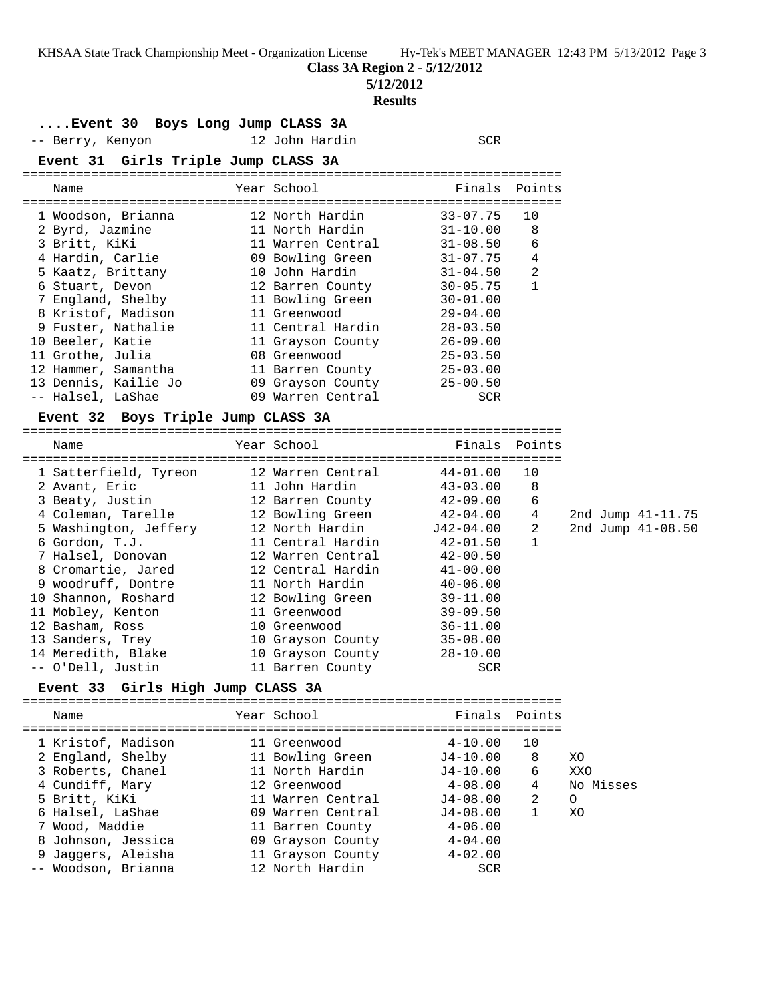KHSAA State Track Championship Meet - Organization License Hy-Tek's MEET MANAGER 12:43 PM 5/13/2012 Page 3

**Class 3A Region 2 - 5/12/2012**

**5/12/2012**

**Results ....Event 30 Boys Long Jump CLASS 3A** -- Berry, Kenyon 12 John Hardin SCR **Event 31 Girls Triple Jump CLASS 3A** ======================================================================= Name Year School ======================================================================= 1 Woodson, Brianna 12 North Hardin 33-07.75 10 2 Byrd, Jazmine 11 North Hardin 31-10.00 8 3 Britt, KiKi 11 Warren Central 31-08.50 6 4 Hardin, Carlie 09 Bowling Green 31-07.75 4 5 Kaatz, Brittany 10 John Hardin 31-04.50 2 6 Stuart, Devon 12 Barren County 30-05.75 1 7 England, Shelby 11 Bowling Green 30-01.00 8 Kristof, Madison 11 Greenwood 29-04.00 9 Fuster, Nathalie 11 Central Hardin 28-03.50 10 Beeler, Katie 11 Grayson County 26-09.00 11 Grothe, Julia 08 Greenwood 25-03.50 12 Hammer, Samantha 11 Barren County 25-03.00 13 Dennis, Kailie Jo 09 Grayson County 25-00.50 -- Halsel, LaShae 09 Warren Central SCR **Event 32 Boys Triple Jump CLASS 3A** ======================================================================= Name The Year School The Finals Points ======================================================================= 1 Satterfield, Tyreon 12 Warren Central 44-01.00 10 2 Avant, Eric 11 John Hardin 43-03.00 8 3 Beaty, Justin 12 Barren County 42-09.00 6 4 Coleman, Tarelle 12 Bowling Green 42-04.00 4 2nd Jump 41-11.75 5 Washington, Jeffery 12 North Hardin J42-04.00 2 2nd Jump 41-08.50 6 Gordon, T.J. 11 Central Hardin 42-01.50 1 7 Halsel, Donovan 12 Warren Central 42-00.50 8 Cromartie, Jared 12 Central Hardin 41-00.00 9 woodruff, Dontre 11 North Hardin 40-06.00 10 Shannon, Roshard 12 Bowling Green 39-11.00 11 Mobley, Kenton 11 Greenwood 39-09.50 12 Basham, Ross 10 Greenwood 36-11.00 13 Sanders, Trey 10 Grayson County 35-08.00 14 Meredith, Blake 10 Grayson County 28-10.00 -- O'Dell, Justin 11 Barren County SCR **Event 33 Girls High Jump CLASS 3A** ======================================================================= Name Year School Finals Points ======================================================================= 1 Kristof, Madison 11 Greenwood 4-10.00 10 2 England, Shelby 11 Bowling Green J4-10.00 8 XO 3 Roberts, Chanel 11 North Hardin J4-10.00 6 XXO 4 Cundiff, Mary 12 Greenwood 4-08.00 4 No Misses 5 Britt, KiKi 11 Warren Central J4-08.00 2 O 6 Halsel, LaShae 09 Warren Central J4-08.00 1 XO 7 Wood, Maddie 11 Barren County 4-06.00 8 Johnson, Jessica 09 Grayson County 4-04.00 9 Jaggers, Aleisha 11 Grayson County 4-02.00 -- Woodson, Brianna 12 North Hardin SCR